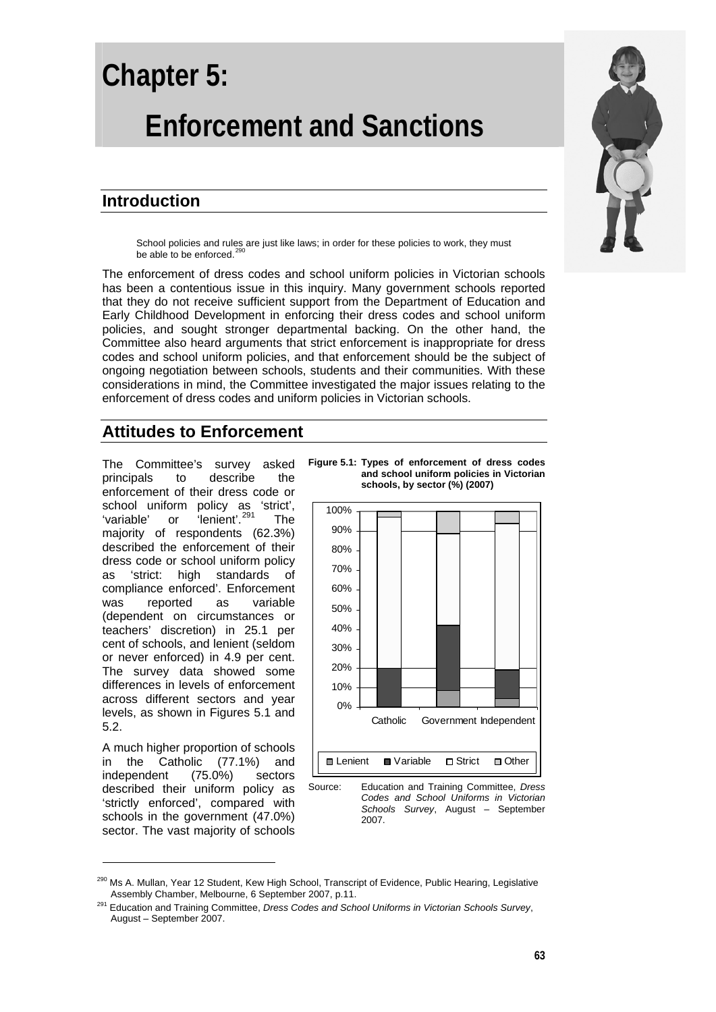# **Chapter 5: Enforcement and Sanctions**

# **Introduction**

School policies and rules are just like laws; in order for these policies to work, they must be able to be enforced.<sup>[290](#page-0-0)</sup>

The enforcement of dress codes and school uniform policies in Victorian schools has been a contentious issue in this inquiry. Many government schools reported that they do not receive sufficient support from the Department of Education and Early Childhood Development in enforcing their dress codes and school uniform policies, and sought stronger departmental backing. On the other hand, the Committee also heard arguments that strict enforcement is inappropriate for dress codes and school uniform policies, and that enforcement should be the subject of ongoing negotiation between schools, students and their communities. With these considerations in mind, the Committee investigated the major issues relating to the enforcement of dress codes and uniform policies in Victorian schools.

# **Attitudes to Enforcement**

The Committee's survey asked principals to describe the enforcement of their dress code or school uniform policy as 'strict', 'variable' or 'lenient'.<sup>[291](#page-0-1)</sup> The majority of respondents (62.3%) described the enforcement of their dress code or school uniform policy as 'strict: high standards of compliance enforced'. Enforcement was reported as variable (dependent on circumstances or teachers' discretion) in 25.1 per cent of schools, and lenient (seldom or never enforced) in 4.9 per cent. The survey data showed some differences in levels of enforcement across different sectors and year levels, as shown in Figures 5.1 and 5.2.

A much higher proportion of schools in the Catholic (77.1%) and independent (75.0%) sectors described their uniform policy as 'strictly enforced', compared with schools in the government (47.0%) sector. The vast majority of schools





Source: Education and Training Committee, *Dress Codes and School Uniforms in Victorian Schools Survey*, August – September 2007.



<span id="page-0-0"></span>Ms A. Mullan, Year 12 Student, Kew High School, Transcript of Evidence, Public Hearing, Legislative<br>Assembly Chamber, Melbourne, 6 September 2007, p.11.

<span id="page-0-1"></span><sup>&</sup>lt;sup>291</sup> Education and Training Committee, *Dress Codes and School Uniforms in Victorian Schools Survey*, August – September 2007.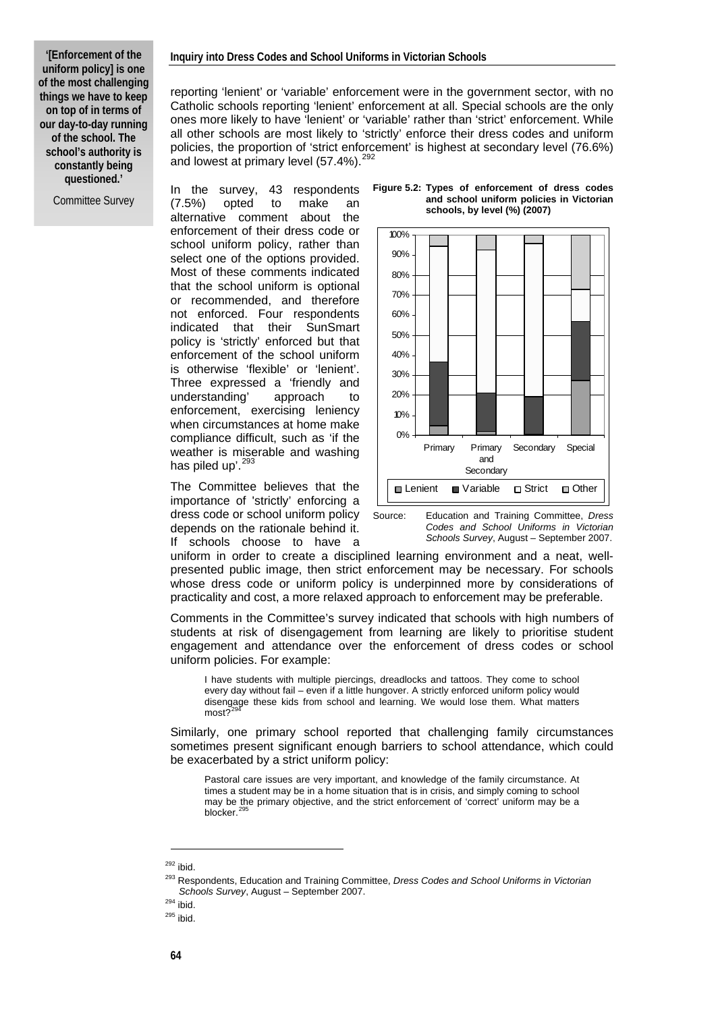#### **Inquiry into Dress Codes and School Uniforms in Victorian Schools**

**'[Enforcement of the uniform policy] is one of the most challenging things we have to keep on top of in terms of our day-to-day running of the school. The school's authority is constantly being questioned.'** 

Committee Survey

reporting 'lenient' or 'variable' enforcement were in the government sector, with no Catholic schools reporting 'lenient' enforcement at all. Special schools are the only ones more likely to have 'lenient' or 'variable' rather than 'strict' enforcement. While all other schools are most likely to 'strictly' enforce their dress codes and uniform policies, the proportion of 'strict enforcement' is highest at secondary level (76.6%) and lowest at primary level  $(57.4\%)$ .<sup>[292](#page-1-0)</sup>

In the survey, 43 respondents (7.5%) opted to make an alternative comment about the enforcement of their dress code or school uniform policy, rather than select one of the options provided. Most of these comments indicated that the school uniform is optional or recommended, and therefore not enforced. Four respondents indicated that their SunSmart policy is 'strictly' enforced but that enforcement of the school uniform is otherwise 'flexible' or 'lenient'. Three expressed a 'friendly and understanding' approach to enforcement, exercising leniency when circumstances at home make compliance difficult, such as 'if the weather is miserable and washing has piled up'.<sup>[293](#page-1-1)</sup>

The Committee believes that the importance of 'strictly' enforcing a dress code or school uniform policy depends on the rationale behind it. If schools choose to have a

**Figure 5.2: Types of enforcement of dress codes and school uniform policies in Victorian schools, by level (%) (2007)** 



Source: Education and Training Committee, *Dress Codes and School Uniforms in Victorian Schools Survey*, August – September 2007.

uniform in order to create a disciplined learning environment and a neat, wellpresented public image, then strict enforcement may be necessary. For schools whose dress code or uniform policy is underpinned more by considerations of practicality and cost, a more relaxed approach to enforcement may be preferable.

Comments in the Committee's survey indicated that schools with high numbers of students at risk of disengagement from learning are likely to prioritise student engagement and attendance over the enforcement of dress codes or school uniform policies. For example:

I have students with multiple piercings, dreadlocks and tattoos. They come to school every day without fail – even if a little hungover. A strictly enforced uniform policy would disengage these kids from school and learning. We would lose them. What matters most?

Similarly, one primary school reported that challenging family circumstances sometimes present significant enough barriers to school attendance, which could be exacerbated by a strict uniform policy:

Pastoral care issues are very important, and knowledge of the family circumstance. At times a student may be in a home situation that is in crisis, and simply coming to school may be the primary objective, and the strict enforcement of 'correct' uniform may be a blocker.

<span id="page-1-1"></span><span id="page-1-0"></span>

<sup>&</sup>lt;sup>292</sup> ibid.<br><sup>293</sup> Respondents, Education and Training Committee, *Dress Codes and School Uniforms in Victorian Schools Survey*, August – September 2007. 294 ibid. 295 ibid.

<span id="page-1-3"></span><span id="page-1-2"></span>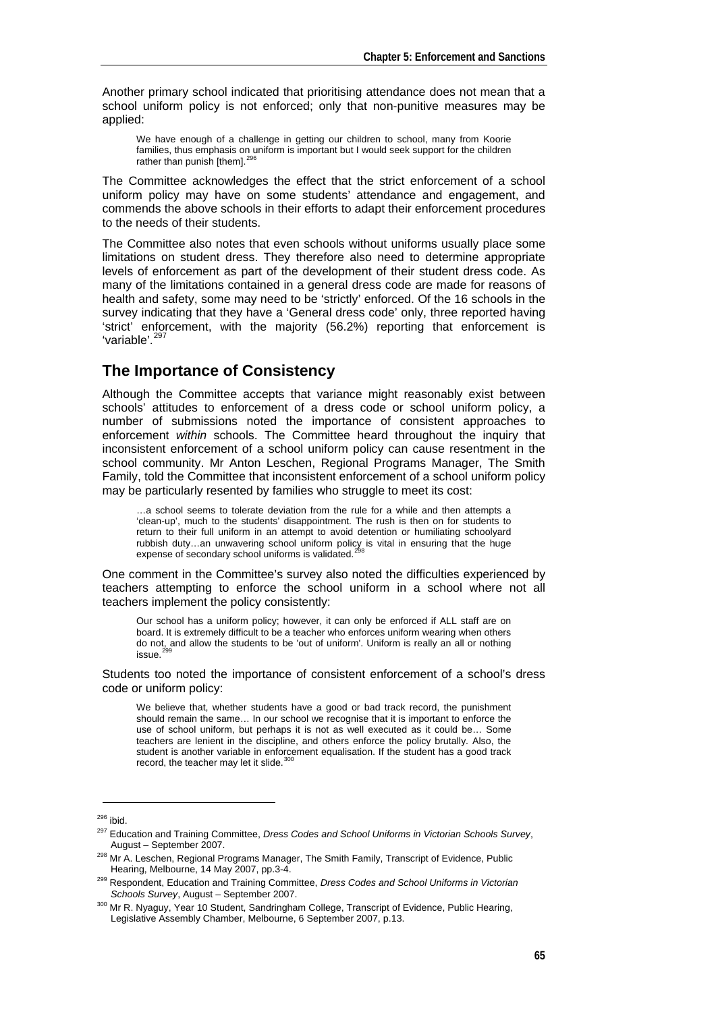Another primary school indicated that prioritising attendance does not mean that a school uniform policy is not enforced; only that non-punitive measures may be applied:

We have enough of a challenge in getting our children to school, many from Koorie families, thus emphasis on uniform is important but I would seek support for the children rather than punish  $[them].<sup>2</sup>$ 

The Committee acknowledges the effect that the strict enforcement of a school uniform policy may have on some students' attendance and engagement, and commends the above schools in their efforts to adapt their enforcement procedures to the needs of their students.

The Committee also notes that even schools without uniforms usually place some limitations on student dress. They therefore also need to determine appropriate levels of enforcement as part of the development of their student dress code. As many of the limitations contained in a general dress code are made for reasons of health and safety, some may need to be 'strictly' enforced. Of the 16 schools in the survey indicating that they have a 'General dress code' only, three reported having 'strict' enforcement, with the majority (56.2%) reporting that enforcement is 'variable'.<sup>[297](#page-2-1)</sup>

## **The Importance of Consistency**

Although the Committee accepts that variance might reasonably exist between schools' attitudes to enforcement of a dress code or school uniform policy, a number of submissions noted the importance of consistent approaches to enforcement *within* schools. The Committee heard throughout the inquiry that inconsistent enforcement of a school uniform policy can cause resentment in the school community. Mr Anton Leschen, Regional Programs Manager, The Smith Family, told the Committee that inconsistent enforcement of a school uniform policy may be particularly resented by families who struggle to meet its cost:

…a school seems to tolerate deviation from the rule for a while and then attempts a 'clean-up', much to the students' disappointment. The rush is then on for students to return to their full uniform in an attempt to avoid detention or humiliating schoolyard rubbish duty...an unwavering school uniform policy is vital in ensuring that the huge expense of secondary school uniforms is validated.<sup>2</sup>

One comment in the Committee's survey also noted the difficulties experienced by teachers attempting to enforce the school uniform in a school where not all teachers implement the policy consistently:

Our school has a uniform policy; however, it can only be enforced if ALL staff are on board. It is extremely difficult to be a teacher who enforces uniform wearing when others do not, and allow the students to be 'out of uniform'. Uniform is really an all or nothing issue.

Students too noted the importance of consistent enforcement of a school's dress code or uniform policy:

We believe that, whether students have a good or bad track record, the punishment should remain the same... In our school we recognise that it is important to enforce the use of school uniform, but perhaps it is not as well executed as it could be… Some teachers are lenient in the discipline, and others enforce the policy brutally. Also, the student is another variable in enforcement equalisation. If the student has a good track record, the teacher may let it slide.<sup>3</sup>

<span id="page-2-0"></span><sup>&</sup>lt;sup>296</sup> ibid.<br><sup>297</sup> Education and Training Committee, *Dress Codes and School Uniforms in Victorian Schools Survey*,<br>August – September 2007.

<span id="page-2-2"></span><span id="page-2-1"></span><sup>&</sup>lt;sup>298</sup> Mr A. Leschen, Regional Programs Manager, The Smith Family, Transcript of Evidence, Public

<span id="page-2-3"></span>Hearing, Melbourne, 14 May 2007, pp.3-4.<br><sup>299</sup> Respondent, Education and Training Committee, *Dress Codes and School Uniforms in Victorian Schools Survey*, August – September 2007.

<span id="page-2-4"></span><sup>&</sup>lt;sup>300</sup> Mr R. Nyaguy, Year 10 Student, Sandringham College, Transcript of Evidence, Public Hearing, Legislative Assembly Chamber, Melbourne, 6 September 2007, p.13.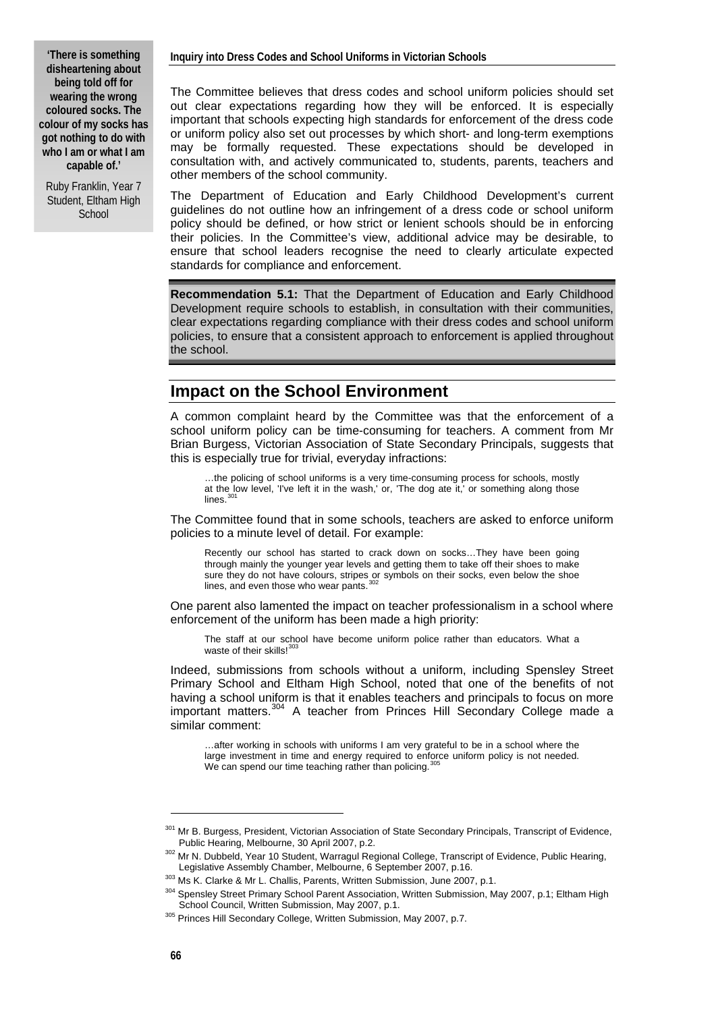**'There is something disheartening about being told off for wearing the wrong coloured socks. The colour of my socks has got nothing to do with who I am or what I am capable of.'** 

Ruby Franklin, Year 7 Student, Eltham High **School** 

The Committee believes that dress codes and school uniform policies should set out clear expectations regarding how they will be enforced. It is especially important that schools expecting high standards for enforcement of the dress code or uniform policy also set out processes by which short- and long-term exemptions may be formally requested. These expectations should be developed in consultation with, and actively communicated to, students, parents, teachers and other members of the school community.

The Department of Education and Early Childhood Development's current guidelines do not outline how an infringement of a dress code or school uniform policy should be defined, or how strict or lenient schools should be in enforcing their policies. In the Committee's view, additional advice may be desirable, to ensure that school leaders recognise the need to clearly articulate expected standards for compliance and enforcement.

**Recommendation 5.1:** That the Department of Education and Early Childhood Development require schools to establish, in consultation with their communities, clear expectations regarding compliance with their dress codes and school uniform policies, to ensure that a consistent approach to enforcement is applied throughout the school.

## **Impact on the School Environment**

A common complaint heard by the Committee was that the enforcement of a school uniform policy can be time-consuming for teachers. A comment from Mr Brian Burgess, Victorian Association of State Secondary Principals, suggests that this is especially true for trivial, everyday infractions:

…the policing of school uniforms is a very time-consuming process for schools, mostly at the low level, 'I've left it in the wash,' or, 'The dog ate it,' or something along those  $lines<sup>3</sup>$ 

The Committee found that in some schools, teachers are asked to enforce uniform policies to a minute level of detail. For example:

Recently our school has started to crack down on socks…They have been going through mainly the younger year levels and getting them to take off their shoes to make sure they do not have colours, stripes or symbols on their socks, even below the shoe<br>lines, and even those who wear pants.<sup>[302](#page-3-1)</sup>

One parent also lamented the impact on teacher professionalism in a school where enforcement of the uniform has been made a high priority:

The staff at our school have become uniform police rather than educators. What a waste of their skills! $30$ 

Indeed, submissions from schools without a uniform, including Spensley Street Primary School and Eltham High School, noted that one of the benefits of not having a school uniform is that it enables teachers and principals to focus on more important matters.<sup>[304](#page-3-3)</sup> A teacher from Princes Hill Secondary College made a similar comment:

…after working in schools with uniforms I am very grateful to be in a school where the large investment in time and energy required to enforce uniform policy is not needed. We can spend our time teaching rather than policing.<sup>[305](#page-3-4)</sup>

<span id="page-3-0"></span><sup>301</sup> Mr B. Burgess, President, Victorian Association of State Secondary Principals, Transcript of Evidence,

Public Hearing, Melbourne, 30 April 2007, p.2.<br><sup>302</sup> Mr N. Dubbeld, Year 10 Student, Warragul Regional College, Transcript of Evidence, Public Hearing,<br>Legislative Assembly Chamber, Melbourne, 6 September 2007, p.16.

<span id="page-3-3"></span><span id="page-3-2"></span><span id="page-3-1"></span><sup>303</sup> Ms K. Clarke & Mr L. Challis, Parents, Written Submission, June 2007, p.1.<br>304 Spensley Street Primary School Parent Association, Written Submission, May 2007, p.1; Eltham High<br>School Council, Written Submission, May 2

<span id="page-3-4"></span><sup>305</sup> Princes Hill Secondary College, Written Submission, May 2007, p.7.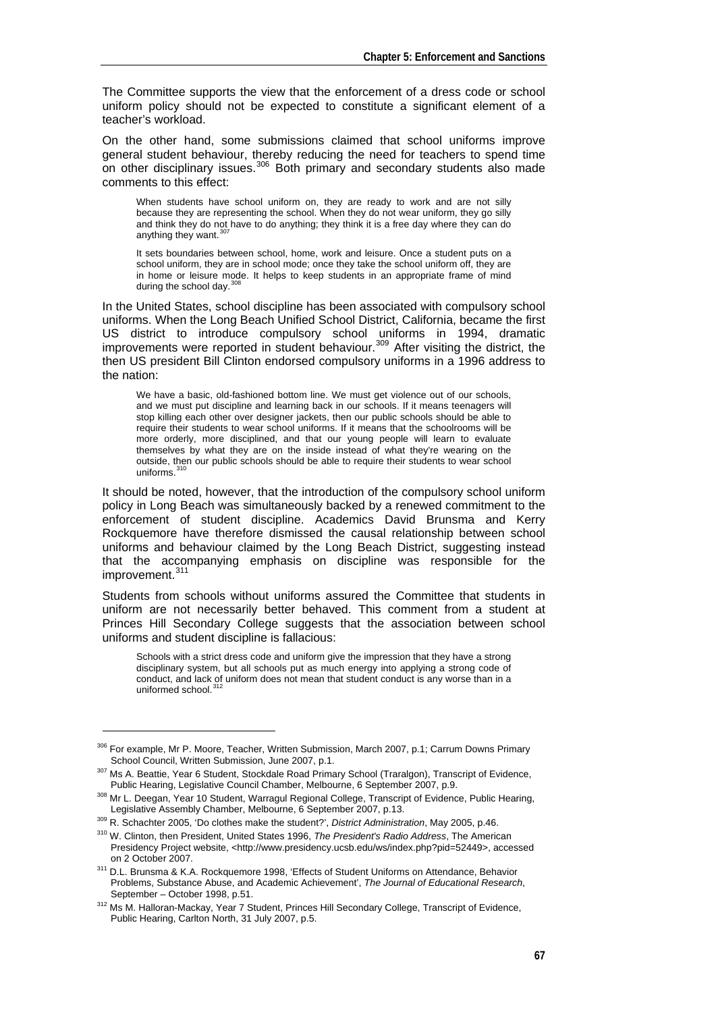The Committee supports the view that the enforcement of a dress code or school uniform policy should not be expected to constitute a significant element of a teacher's workload.

On the other hand, some submissions claimed that school uniforms improve general student behaviour, thereby reducing the need for teachers to spend time on other disciplinary issues.<sup>[306](#page-4-0)</sup> Both primary and secondary students also made comments to this effect:

When students have school uniform on, they are ready to work and are not silly because they are representing the school. When they do not wear uniform, they go silly and think they do not have to do anything; they think it is a free day where they can do anything they want.  $307$ 

It sets boundaries between school, home, work and leisure. Once a student puts on a school uniform, they are in school mode; once they take the school uniform off, they are in home or leisure mode. It helps to keep students in an appropriate frame of mind during the school day. [308](#page-4-2)

In the United States, school discipline has been associated with compulsory school uniforms. When the Long Beach Unified School District, California, became the first US district to introduce compulsory school uniforms in 1994, dramatic improvements were reported in student behaviour.<sup>[309](#page-4-3)</sup> After visiting the district, the then US president Bill Clinton endorsed compulsory uniforms in a 1996 address to the nation:

We have a basic, old-fashioned bottom line. We must get violence out of our schools, and we must put discipline and learning back in our schools. If it means teenagers will stop killing each other over designer jackets, then our public schools should be able to require their students to wear school uniforms. If it means that the schoolrooms will be more orderly, more disciplined, and that our young people will learn to evaluate themselves by what they are on the inside instead of what they're wearing on the outside, then our public schools should be able to require their students to wear school uniforms

It should be noted, however, that the introduction of the compulsory school uniform policy in Long Beach was simultaneously backed by a renewed commitment to the enforcement of student discipline. Academics David Brunsma and Kerry Rockquemore have therefore dismissed the causal relationship between school uniforms and behaviour claimed by the Long Beach District, suggesting instead that the accompanying emphasis on discipline was responsible for the improvement.<sup>[311](#page-4-5)</sup>

Students from schools without uniforms assured the Committee that students in uniform are not necessarily better behaved. This comment from a student at Princes Hill Secondary College suggests that the association between school uniforms and student discipline is fallacious:

Schools with a strict dress code and uniform give the impression that they have a strong disciplinary system, but all schools put as much energy into applying a strong code of conduct, and lack of uniform does not mean that student conduct is any worse than in a uniformed school.<sup>[312](#page-4-6)</sup>

<span id="page-4-0"></span><sup>&</sup>lt;sup>306</sup> For example, Mr P. Moore, Teacher, Written Submission, March 2007, p.1; Carrum Downs Primary<br>School Council, Written Submission, June 2007, p.1.

<sup>307</sup> Ms A. Beattie, Year 6 Student, Stockdale Road Primary School (Traralgon), Transcript of Evidence,

<span id="page-4-1"></span>Public Hearing, Legislative Council Chamber, Melbourne, 6 September 2007, p.9.<br><sup>308</sup> Mr L. Deegan, Year 10 Student, Warragul Regional College, Transcript of Evidence, Public Hearing,<br>Legislative Assembly Chamber, Melbourne

<span id="page-4-3"></span><span id="page-4-2"></span><sup>&</sup>lt;sup>309</sup> R. Schachter 2005, 'Do clothes make the student?', *District Administration*, May 2005, p.46.<br><sup>310</sup> W. Clinton, then President, United States 1996, *The President's Radio Address*, The American

<span id="page-4-4"></span>Presidency Project website, <http://www.presidency.ucsb.edu/ws/index.php?pid=52449>, accessed on 2 October 2007.<br><sup>311</sup> D.L. Brunsma & K.A. Rockguemore 1998, 'Effects of Student Uniforms on Attendance, Behavior

<span id="page-4-5"></span>Problems, Substance Abuse, and Academic Achievement', *The Journal of Educational Research*,

<span id="page-4-6"></span>September – October 1998, p.51.<br><sup>312</sup> Ms M. Halloran-Mackay, Year 7 Student, Princes Hill Secondary College, Transcript of Evidence, Public Hearing, Carlton North, 31 July 2007, p.5.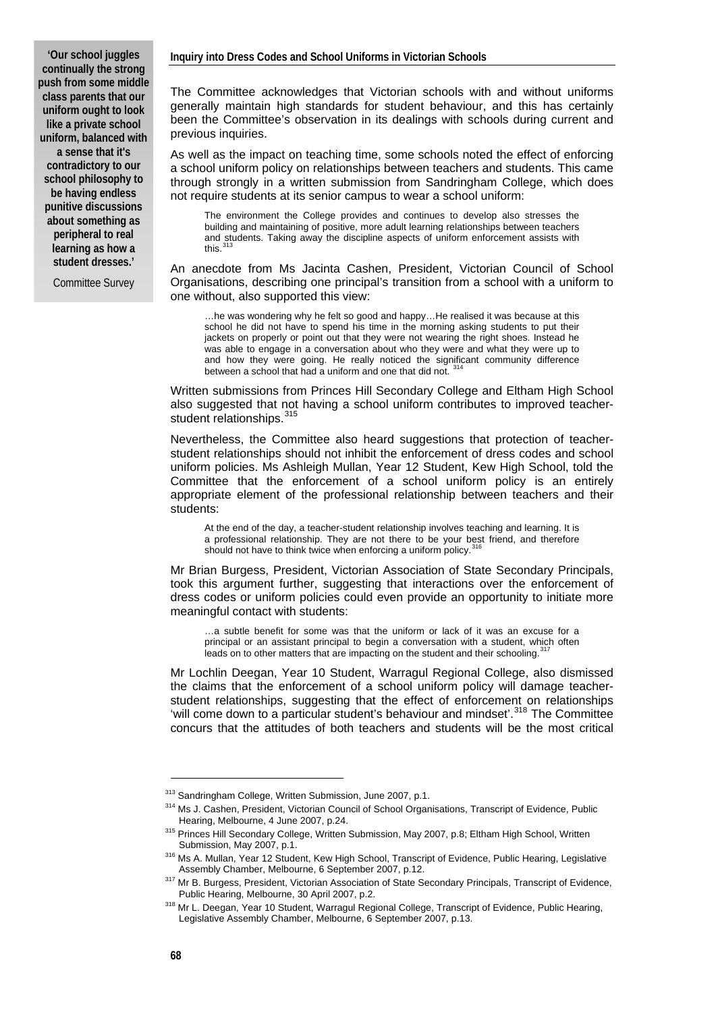**'Our school juggles continually the strong push from some middle class parents that our uniform ought to look like a private school uniform, balanced with a sense that it's contradictory to our school philosophy to be having endless punitive discussions about something as peripheral to real learning as how a student dresses.'**

Committee Survey

The Committee acknowledges that Victorian schools with and without uniforms generally maintain high standards for student behaviour, and this has certainly been the Committee's observation in its dealings with schools during current and previous inquiries.

As well as the impact on teaching time, some schools noted the effect of enforcing a school uniform policy on relationships between teachers and students. This came through strongly in a written submission from Sandringham College, which does not require students at its senior campus to wear a school uniform:

The environment the College provides and continues to develop also stresses the building and maintaining of positive, more adult learning relationships between teachers and students. Taking away the discipline aspects of uniform enforcement assists with this.

An anecdote from Ms Jacinta Cashen, President, Victorian Council of School Organisations, describing one principal's transition from a school with a uniform to one without, also supported this view:

…he was wondering why he felt so good and happy…He realised it was because at this school he did not have to spend his time in the morning asking students to put their jackets on properly or point out that they were not wearing the right shoes. Instead he was able to engage in a conversation about who they were and what they were up to and how they were going. He really noticed the significant community difference between a school that had a uniform and one that did not.

Written submissions from Princes Hill Secondary College and Eltham High School also suggested that not having a school uniform contributes to improved teacher-student relationships. [315](#page-5-2)

Nevertheless, the Committee also heard suggestions that protection of teacherstudent relationships should not inhibit the enforcement of dress codes and school uniform policies. Ms Ashleigh Mullan, Year 12 Student, Kew High School, told the Committee that the enforcement of a school uniform policy is an entirely appropriate element of the professional relationship between teachers and their students:

At the end of the day, a teacher-student relationship involves teaching and learning. It is a professional relationship. They are not there to be your best friend, and therefore should not have to think twice when enforcing a uniform policy.<sup>3</sup>

Mr Brian Burgess, President, Victorian Association of State Secondary Principals, took this argument further, suggesting that interactions over the enforcement of dress codes or uniform policies could even provide an opportunity to initiate more meaningful contact with students:

…a subtle benefit for some was that the uniform or lack of it was an excuse for a principal or an assistant principal to begin a conversation with a student, which often leads on to other matters that are impacting on the student and their schooling.<sup>31</sup>

Mr Lochlin Deegan, Year 10 Student, Warragul Regional College, also dismissed the claims that the enforcement of a school uniform policy will damage teacherstudent relationships, suggesting that the effect of enforcement on relationships 'will come down to a particular student's behaviour and mindset'.<sup>[318](#page-5-5)</sup> The Committee concurs that the attitudes of both teachers and students will be the most critical

-

<span id="page-5-1"></span><span id="page-5-0"></span><sup>&</sup>lt;sup>313</sup> Sandringham College, Written Submission, June 2007, p.1.<br><sup>314</sup> Ms J. Cashen, President, Victorian Council of School Organisations, Transcript of Evidence, Public<br>Hearing. Melbourne. 4 June 2007. p.24.

<span id="page-5-2"></span><sup>315</sup> Princes Hill Secondary College, Written Submission, May 2007, p.8; Eltham High School, Written

Submission, May 2007, p.1.<br><sup>316</sup> Ms A. Mullan, Year 12 Student, Kew High School, Transcript of Evidence, Public Hearing, Legislative

<span id="page-5-3"></span>Assembly Chamber, Melbourne, 6 September 2007, p.12.<br><sup>317</sup> Mr B. Burgess, President, Victorian Association of State Secondary Principals, Transcript of Evidence,

<span id="page-5-5"></span><span id="page-5-4"></span>Public Hearing, Melbourne, 30 April 2007, p.2.<br><sup>318</sup> Mr L. Deegan, Year 10 Student, Warragul Regional College, Transcript of Evidence, Public Hearing, Legislative Assembly Chamber, Melbourne, 6 September 2007, p.13.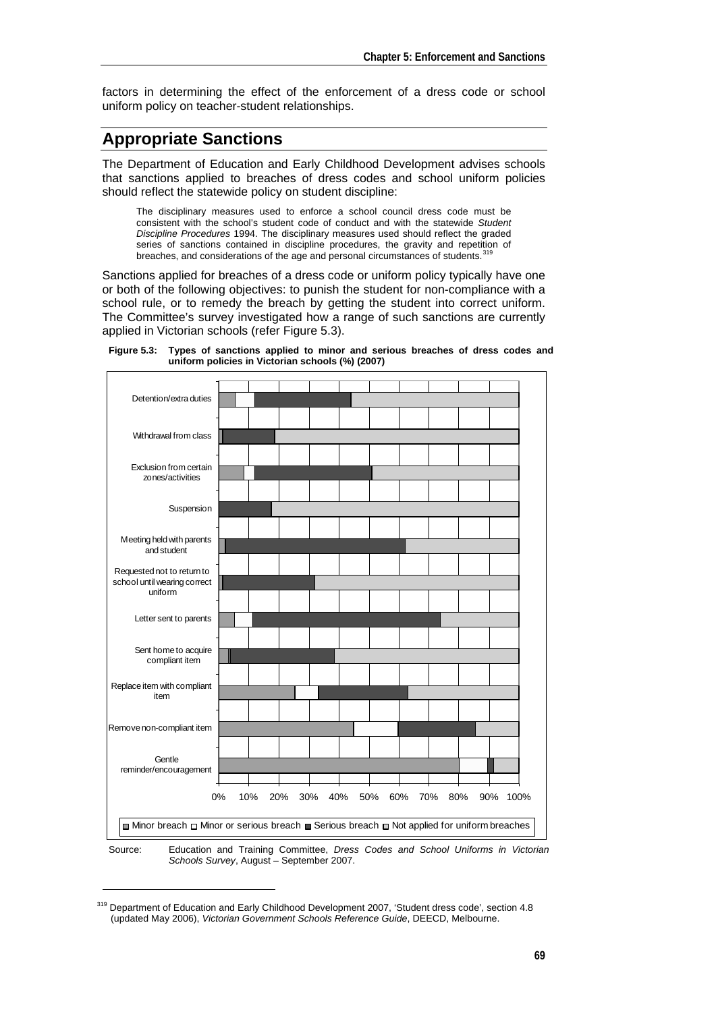factors in determining the effect of the enforcement of a dress code or school uniform policy on teacher-student relationships.

# **Appropriate Sanctions**

The Department of Education and Early Childhood Development advises schools that sanctions applied to breaches of dress codes and school uniform policies should reflect the statewide policy on student discipline:

The disciplinary measures used to enforce a school council dress code must be consistent with the school's student code of conduct and with the statewide *Student Discipline Procedures* 1994. The disciplinary measures used should reflect the graded series of sanctions contained in discipline procedures, the gravity and repetition of breaches, and considerations of the age and personal circumstances of students.<sup>31</sup>

Sanctions applied for breaches of a dress code or uniform policy typically have one or both of the following objectives: to punish the student for non-compliance with a school rule, or to remedy the breach by getting the student into correct uniform. The Committee's survey investigated how a range of such sanctions are currently applied in Victorian schools (refer Figure 5.3).

**Figure 5.3: Types of sanctions applied to minor and serious breaches of dress codes and uniform policies in Victorian schools (%) (2007)** 





1

Source: Education and Training Committee, *Dress Codes and School Uniforms in Victorian Schools Survey*, August – September 2007.

<span id="page-6-0"></span><sup>&</sup>lt;sup>319</sup> Department of Education and Early Childhood Development 2007, 'Student dress code', section 4.8 (updated May 2006), *Victorian Government Schools Reference Guide*, DEECD, Melbourne.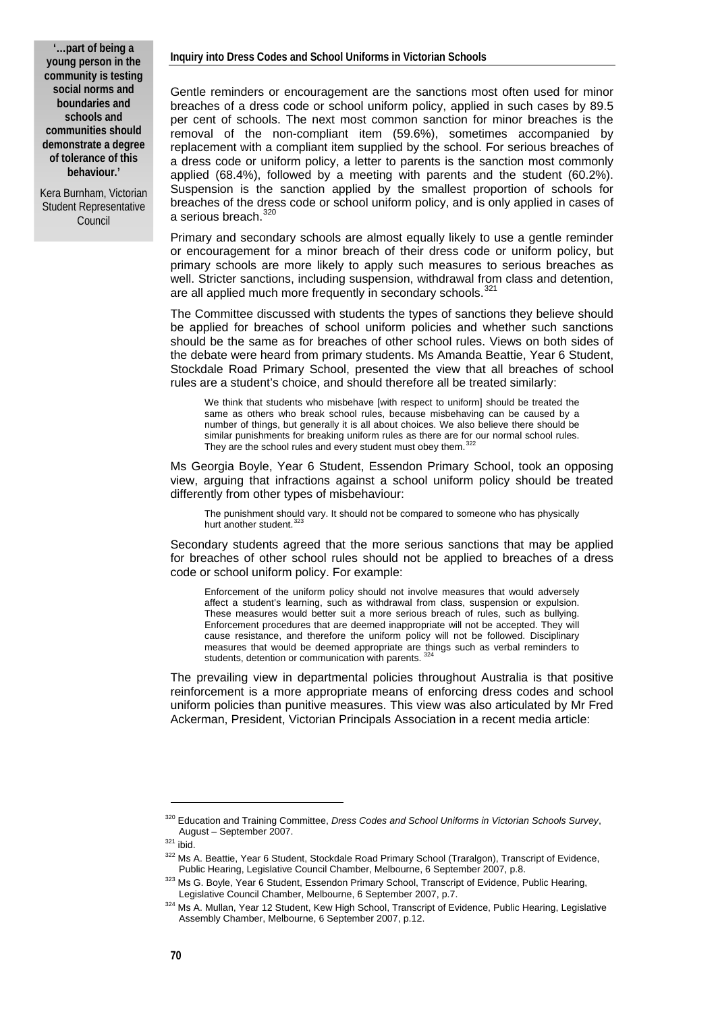Kera Burnham, Victorian Student Representative Council

#### **Inquiry into Dress Codes and School Uniforms in Victorian Schools**

Gentle reminders or encouragement are the sanctions most often used for minor breaches of a dress code or school uniform policy, applied in such cases by 89.5 per cent of schools. The next most common sanction for minor breaches is the removal of the non-compliant item (59.6%), sometimes accompanied by replacement with a compliant item supplied by the school. For serious breaches of a dress code or uniform policy, a letter to parents is the sanction most commonly applied (68.4%), followed by a meeting with parents and the student (60.2%). Suspension is the sanction applied by the smallest proportion of schools for breaches of the dress code or school uniform policy, and is only applied in cases of a serious breach.<sup>[320](#page-7-0)</sup>

Primary and secondary schools are almost equally likely to use a gentle reminder or encouragement for a minor breach of their dress code or uniform policy, but primary schools are more likely to apply such measures to serious breaches as well. Stricter sanctions, including suspension, withdrawal from class and detention, are all applied much more frequently in secondary schools.<sup>[321](#page-7-1)</sup>

The Committee discussed with students the types of sanctions they believe should be applied for breaches of school uniform policies and whether such sanctions should be the same as for breaches of other school rules. Views on both sides of the debate were heard from primary students. Ms Amanda Beattie, Year 6 Student, Stockdale Road Primary School, presented the view that all breaches of school rules are a student's choice, and should therefore all be treated similarly:

We think that students who misbehave [with respect to uniform] should be treated the same as others who break school rules, because misbehaving can be caused by a number of things, but generally it is all about choices. We also believe there should be similar punishments for breaking uniform rules as there are for our normal school rules. They are the school rules and every student must obey them.

Ms Georgia Boyle, Year 6 Student, Essendon Primary School, took an opposing view, arguing that infractions against a school uniform policy should be treated differently from other types of misbehaviour:

The punishment should vary. It should not be compared to someone who has physically hurt another student.<sup>[323](#page-7-3)</sup>

Secondary students agreed that the more serious sanctions that may be applied for breaches of other school rules should not be applied to breaches of a dress code or school uniform policy. For example:

Enforcement of the uniform policy should not involve measures that would adversely affect a student's learning, such as withdrawal from class, suspension or expulsion. These measures would better suit a more serious breach of rules, such as bullying. Enforcement procedures that are deemed inappropriate will not be accepted. They will cause resistance, and therefore the uniform policy will not be followed. Disciplinary measures that would be deemed appropriate are things such as verbal reminders to students, detention or communication with parents.<sup>32</sup>

The prevailing view in departmental policies throughout Australia is that positive reinforcement is a more appropriate means of enforcing dress codes and school uniform policies than punitive measures. This view was also articulated by Mr Fred Ackerman, President, Victorian Principals Association in a recent media article:

<span id="page-7-2"></span><span id="page-7-1"></span>

<span id="page-7-0"></span><sup>320</sup> Education and Training Committee, *Dress Codes and School Uniforms in Victorian Schools Survey*,

August – September 2007.<br><sup>321</sup> ibid.<br><sup>322</sup> Ms A. Beattie, Year 6 Student, Stockdale Road Primary School (Traralgon), Transcript of Evidence,

Public Hearing, Legislative Council Chamber, Melbourne, 6 September 2007, p.8.<br><sup>323</sup> Ms G. Boyle, Year 6 Student, Essendon Primary School, Transcript of Evidence, Public Hearing,

<span id="page-7-4"></span><span id="page-7-3"></span>Legislative Council Chamber, Melbourne, 6 September 2007, p.7.<br><sup>324</sup> Ms A. Mullan, Year 12 Student, Kew High School, Transcript of Evidence, Public Hearing, Legislative Assembly Chamber, Melbourne, 6 September 2007, p.12.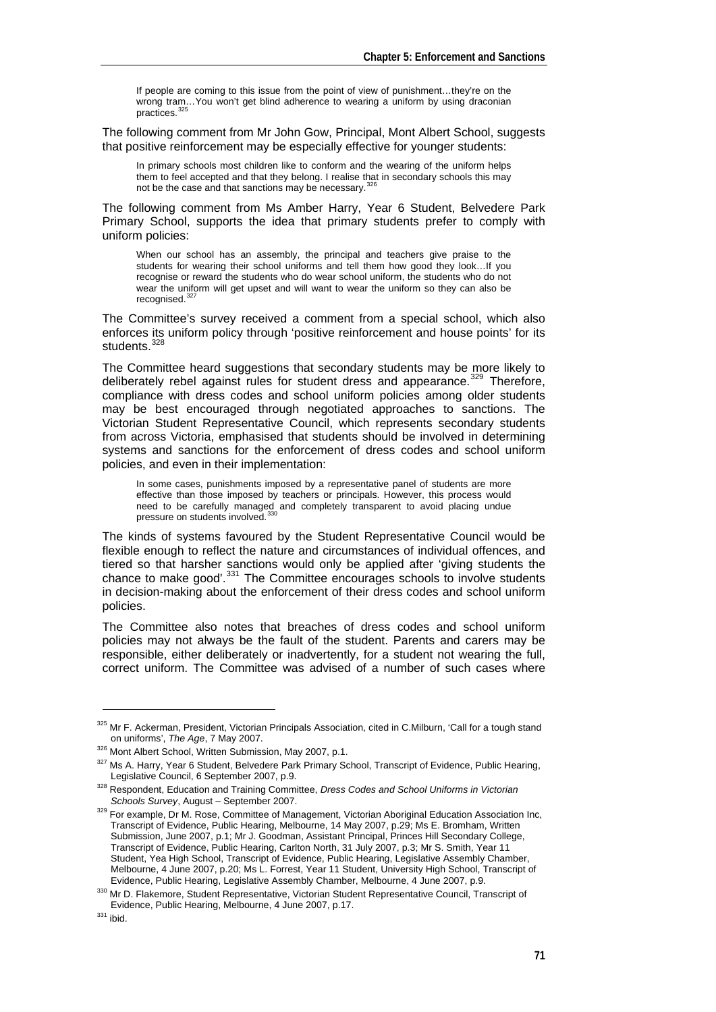If people are coming to this issue from the point of view of punishment…they're on the wrong tram...You won't get blind adherence to wearing a uniform by using draconian<br>practices.<sup>[325](#page-8-0)</sup>

The following comment from Mr John Gow, Principal, Mont Albert School, suggests that positive reinforcement may be especially effective for younger students:

In primary schools most children like to conform and the wearing of the uniform helps them to feel accepted and that they belong. I realise that in secondary schools this may<br>not be the case and that sanctions may be necessary.<sup>[326](#page-8-1)</sup>

The following comment from Ms Amber Harry, Year 6 Student, Belvedere Park Primary School, supports the idea that primary students prefer to comply with uniform policies:

When our school has an assembly, the principal and teachers give praise to the students for wearing their school uniforms and tell them how good they look…If you recognise or reward the students who do wear school uniform, the students who do not wear the uniform will get upset and will want to wear the uniform so they can also be recognised.

The Committee's survey received a comment from a special school, which also enforces its uniform policy through 'positive reinforcement and house points' for its students.<sup>[328](#page-8-3)</sup>

The Committee heard suggestions that secondary students may be more likely to deliberately rebel against rules for student dress and appearance.<sup>[329](#page-8-4)</sup> Therefore, compliance with dress codes and school uniform policies among older students may be best encouraged through negotiated approaches to sanctions. The Victorian Student Representative Council, which represents secondary students from across Victoria, emphasised that students should be involved in determining systems and sanctions for the enforcement of dress codes and school uniform policies, and even in their implementation:

In some cases, punishments imposed by a representative panel of students are more effective than those imposed by teachers or principals. However, this process would need to be carefully managed and completely transparent to avoid placing undue<br>pressure on students involved.<sup>[330](#page-8-5)</sup>

The kinds of systems favoured by the Student Representative Council would be flexible enough to reflect the nature and circumstances of individual offences, and tiered so that harsher sanctions would only be applied after 'giving students the chance to make good'.<sup>[331](#page-8-6)</sup> The Committee encourages schools to involve students in decision-making about the enforcement of their dress codes and school uniform policies.

The Committee also notes that breaches of dress codes and school uniform policies may not always be the fault of the student. Parents and carers may be responsible, either deliberately or inadvertently, for a student not wearing the full, correct uniform. The Committee was advised of a number of such cases where

<sup>325</sup> Mr F. Ackerman, President, Victorian Principals Association, cited in C.Milburn, 'Call for a tough stand

<span id="page-8-1"></span><span id="page-8-0"></span>on uniforms', *The Age*, 7 May 2007.<br><sup>326</sup> Mont Albert School, Written Submission, May 2007, p.1.<br><sup>327</sup> Ms A. Harry, Year 6 Student, Belvedere Park Primary School, Transcript of Evidence, Public Hearing,<br>Leaislative Counci

<span id="page-8-3"></span><span id="page-8-2"></span><sup>&</sup>lt;sup>328</sup> Respondent, Education and Training Committee, *Dress Codes and School Uniforms in Victorian Schools Survey*, August – September 2007.

<span id="page-8-4"></span><sup>&</sup>lt;sup>329</sup> For example. Dr M. Rose, Committee of Management, Victorian Aboriginal Education Association Inc, Transcript of Evidence, Public Hearing, Melbourne, 14 May 2007, p.29; Ms E. Bromham, Written Submission, June 2007, p.1; Mr J. Goodman, Assistant Principal, Princes Hill Secondary College, Transcript of Evidence, Public Hearing, Carlton North, 31 July 2007, p.3; Mr S. Smith, Year 11 Student, Yea High School, Transcript of Evidence, Public Hearing, Legislative Assembly Chamber, Melbourne, 4 June 2007, p.20; Ms L. Forrest, Year 11 Student, University High School, Transcript of Evidence, Public Hearing, Legislative Assembly Chamber, Melbourne, 4 June 2007, p.9.

<span id="page-8-5"></span><sup>330</sup> Mr D. Flakemore, Student Representative, Victorian Student Representative Council, Transcript of Evidence, Public Hearing, Melbourne, 4 June 2007, p.17. 331 ibid.

<span id="page-8-6"></span>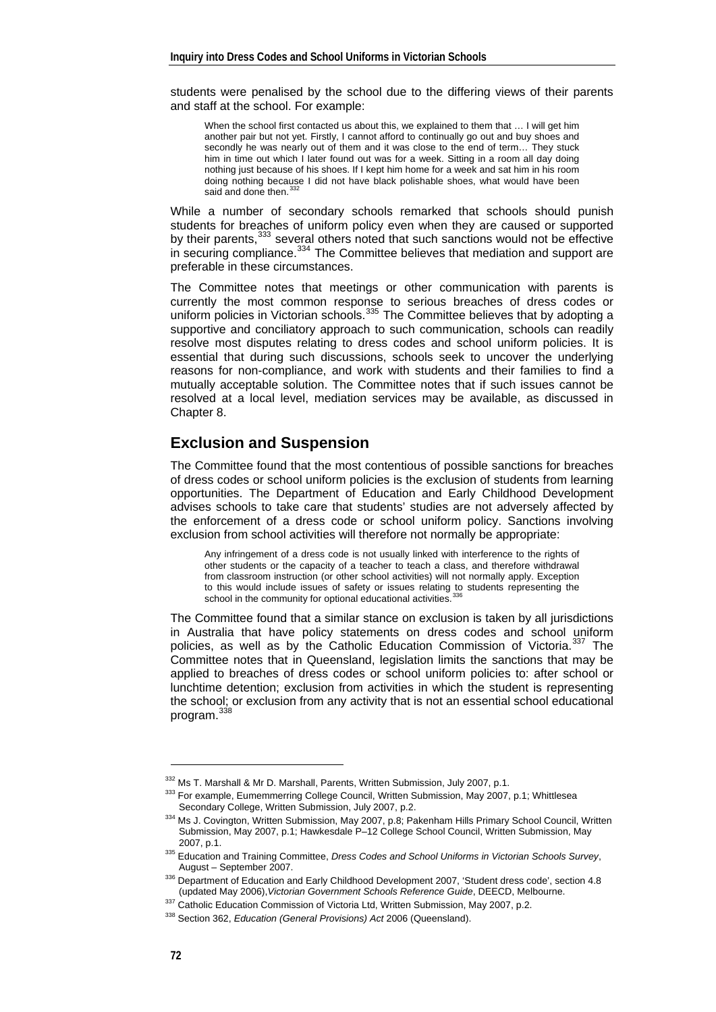students were penalised by the school due to the differing views of their parents and staff at the school. For example:

When the school first contacted us about this, we explained to them that ... I will get him another pair but not yet. Firstly, I cannot afford to continually go out and buy shoes and secondly he was nearly out of them and it was close to the end of term… They stuck him in time out which I later found out was for a week. Sitting in a room all day doing nothing just because of his shoes. If I kept him home for a week and sat him in his room doing nothing because I did not have black polishable shoes, what would have been said and done then.<sup>3</sup>

While a number of secondary schools remarked that schools should punish students for breaches of uniform policy even when they are caused or supported by their parents,<sup>[333](#page-9-1)</sup> several others noted that such sanctions would not be effective in securing compliance.<sup>[334](#page-9-2)</sup> The Committee believes that mediation and support are preferable in these circumstances.

The Committee notes that meetings or other communication with parents is currently the most common response to serious breaches of dress codes or uniform policies in Victorian schools.<sup>[335](#page-9-3)</sup> The Committee believes that by adopting a supportive and conciliatory approach to such communication, schools can readily resolve most disputes relating to dress codes and school uniform policies. It is essential that during such discussions, schools seek to uncover the underlying reasons for non-compliance, and work with students and their families to find a mutually acceptable solution. The Committee notes that if such issues cannot be resolved at a local level, mediation services may be available, as discussed in Chapter 8.

#### **Exclusion and Suspension**

The Committee found that the most contentious of possible sanctions for breaches of dress codes or school uniform policies is the exclusion of students from learning opportunities. The Department of Education and Early Childhood Development advises schools to take care that students' studies are not adversely affected by the enforcement of a dress code or school uniform policy. Sanctions involving exclusion from school activities will therefore not normally be appropriate:

Any infringement of a dress code is not usually linked with interference to the rights of other students or the capacity of a teacher to teach a class, and therefore withdrawal from classroom instruction (or other school activities) will not normally apply. Exception to this would include issues of safety or issues relating to students representing the school in the community for optional educational activities.<sup>[336](#page-9-4)</sup>

The Committee found that a similar stance on exclusion is taken by all jurisdictions in Australia that have policy statements on dress codes and school uniform policies, as well as by the Catholic Education Commission of Victoria.<sup>[337](#page-9-5)</sup> The Committee notes that in Queensland, legislation limits the sanctions that may be applied to breaches of dress codes or school uniform policies to: after school or lunchtime detention; exclusion from activities in which the student is representing the school; or exclusion from any activity that is not an essential school educational program.<sup>[338](#page-9-6)</sup>

-

<span id="page-9-0"></span><sup>&</sup>lt;sup>332</sup> Ms T. Marshall & Mr D. Marshall, Parents, Written Submission, July 2007, p.1.<br><sup>333</sup> For example, Eumemmerring College Council, Written Submission, May 2007, p.1; Whittlesea<br>Secondary College, Written Submission, July

<span id="page-9-2"></span><span id="page-9-1"></span><sup>334</sup> Ms J. Covington, Written Submission, May 2007, p.8; Pakenham Hills Primary School Council, Written Submission, May 2007, p.1; Hawkesdale P–12 College School Council, Written Submission, May

<span id="page-9-3"></span><sup>2007,</sup> p.1. 335 Education and Training Committee, *Dress Codes and School Uniforms in Victorian Schools Survey*,

<sup>&</sup>lt;sup>336</sup> Department of Education and Early Childhood Development 2007, 'Student dress code', section 4.8<br>(updated May 2006), Victorian Government Schools Reference Guide, DEECD, Melbourne.

<span id="page-9-6"></span><span id="page-9-5"></span><span id="page-9-4"></span><sup>337</sup> Catholic Education Commission of Victoria Ltd, Written Submission, May 2007, p.2.<br>338 Section 362. Education (General Provisions) Act 2006 (Queensland).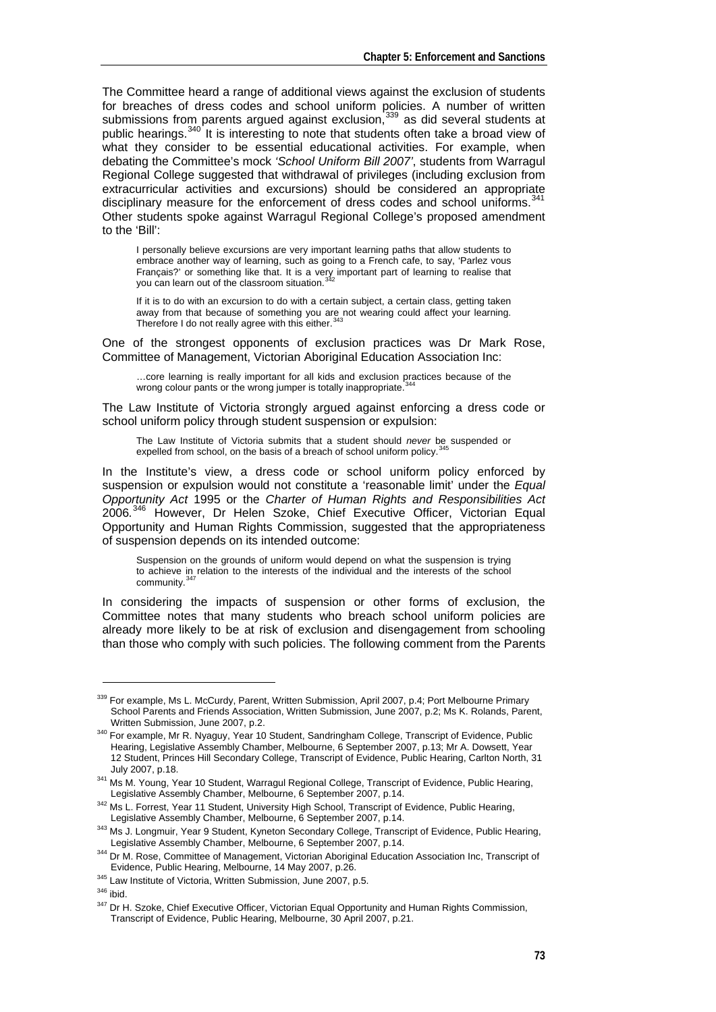The Committee heard a range of additional views against the exclusion of students for breaches of dress codes and school uniform policies. A number of written submissions from parents argued against exclusion,<sup>[339](#page-10-0)</sup> as did several students at public hearings.<sup>[340](#page-10-1)</sup> It is interesting to note that students often take a broad view of what they consider to be essential educational activities. For example, when debating the Committee's mock *'School Uniform Bill 2007'*, students from Warragul Regional College suggested that withdrawal of privileges (including exclusion from extracurricular activities and excursions) should be considered an appropriate disciplinary measure for the enforcement of dress codes and school uniforms.<sup>[341](#page-10-2)</sup> Other students spoke against Warragul Regional College's proposed amendment to the 'Bill':

I personally believe excursions are very important learning paths that allow students to embrace another way of learning, such as going to a French cafe, to say, 'Parlez vous Français?' or something like that. It is a very important part of learning to realise that you can learn out of the classroom situation.<sup>[342](#page-10-3)</sup>

If it is to do with an excursion to do with a certain subject, a certain class, getting taken away from that because of something you are not wearing could affect your learning.<br>Therefore I do not really agree with this either.<sup>[343](#page-10-4)</sup>

One of the strongest opponents of exclusion practices was Dr Mark Rose, Committee of Management, Victorian Aboriginal Education Association Inc:

…core learning is really important for all kids and exclusion practices because of the wrong colour pants or the wrong jumper is totally inappropriate.<sup>3</sup>

The Law Institute of Victoria strongly argued against enforcing a dress code or school uniform policy through student suspension or expulsion:

The Law Institute of Victoria submits that a student should *never* be suspended or expelled from school, on the basis of a breach of school uniform policy.<sup>3</sup>

In the Institute's view, a dress code or school uniform policy enforced by suspension or expulsion would not constitute a 'reasonable limit' under the *Equal Opportunity Act* 1995 or the *Charter of Human Rights and Responsibilities Act*  2006*.*  $3$  However, Dr Helen Szoke, Chief Executive Officer, Victorian Equal Opportunity and Human Rights Commission, suggested that the appropriateness of suspension depends on its intended outcome:

Suspension on the grounds of uniform would depend on what the suspension is trying to achieve in relation to the interests of the individual and the interests of the school community.<sup>3</sup>

In considering the impacts of suspension or other forms of exclusion, the Committee notes that many students who breach school uniform policies are already more likely to be at risk of exclusion and disengagement from schooling than those who comply with such policies. The following comment from the Parents

<span id="page-10-0"></span><sup>339</sup> For example, Ms L. McCurdy, Parent, Written Submission, April 2007, p.4; Port Melbourne Primary School Parents and Friends Association, Written Submission, June 2007, p.2; Ms K. Rolands, Parent, Written Submission, June 2007, p.2.

<span id="page-10-1"></span><sup>340</sup> For example, Mr R. Nyaguy, Year 10 Student, Sandringham College, Transcript of Evidence, Public Hearing, Legislative Assembly Chamber, Melbourne, 6 September 2007, p.13; Mr A. Dowsett, Year 12 Student, Princes Hill Secondary College, Transcript of Evidence, Public Hearing, Carlton North, 31<br>July 2007, p.18.

<span id="page-10-2"></span><sup>&</sup>lt;sup>341</sup> Ms M. Young, Year 10 Student, Warragul Regional College, Transcript of Evidence, Public Hearing, Legislative Assembly Chamber. Melbourne. 6 September 2007. p.14.

<span id="page-10-3"></span><sup>342</sup> Ms L. Forrest, Year 11 Student, University High School, Transcript of Evidence, Public Hearing,

Legislative Assembly Chamber, Melbourne, 6 September 2007, p.14.<br><sup>343</sup> Ms J. Longmuir, Year 9 Student, Kyneton Secondary College, Transcript of Evidence, Public Hearing,

<span id="page-10-4"></span>Legislative Assembly Chamber, Melbourne, 6 September 2007, p.14.<br><sup>344</sup> Dr M. Rose, Committee of Management, Victorian Aboriginal Education Association Inc, Transcript of<br>Evidence, Public Hearing, Melbourne, 14 May 2007, p.

<span id="page-10-8"></span><span id="page-10-7"></span>

<span id="page-10-6"></span><span id="page-10-5"></span> $345$  Law Institute of Victoria, Written Submission, June 2007, p.5.<br> $346$  ibid.<br> $347$  Dr H. Szoke, Chief Executive Officer, Victorian Equal Opportunity and Human Rights Commission, Transcript of Evidence, Public Hearing, Melbourne, 30 April 2007, p.21.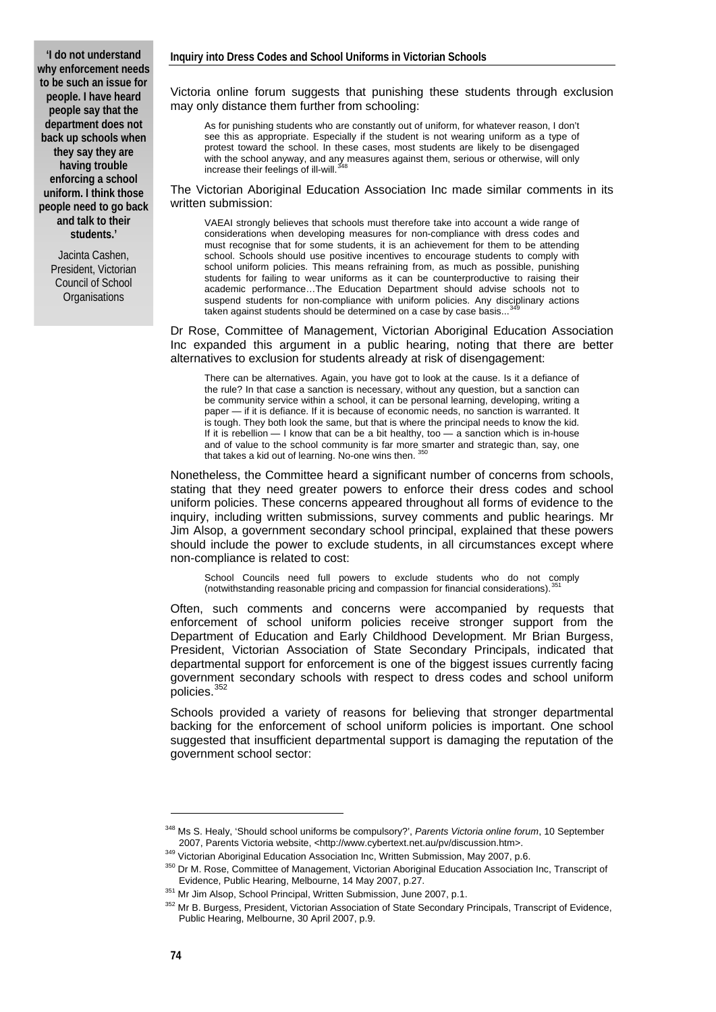**'I do not understand why enforcement needs to be such an issue for people. I have heard people say that the department does not back up schools when they say they are having trouble enforcing a school uniform. I think those people need to go back and talk to their students.'** 

> Jacinta Cashen, President, Victorian Council of School **Organisations**

Victoria online forum suggests that punishing these students through exclusion may only distance them further from schooling:

As for punishing students who are constantly out of uniform, for whatever reason, I don't see this as appropriate. Especially if the student is not wearing uniform as a type of protest toward the school. In these cases, most students are likely to be disengaged with the school anyway, and any measures against them, serious or otherwise, will only increase their feelings of ill-will.<sup>3</sup>

The Victorian Aboriginal Education Association Inc made similar comments in its written submission:

VAEAI strongly believes that schools must therefore take into account a wide range of considerations when developing measures for non-compliance with dress codes and must recognise that for some students, it is an achievement for them to be attending school. Schools should use positive incentives to encourage students to comply with school uniform policies. This means refraining from, as much as possible, punishing students for failing to wear uniforms as it can be counterproductive to raising their academic performance…The Education Department should advise schools not to suspend students for non-compliance with uniform policies. Any disciplinary actions taken against students should be determined on a case by case basis...

Dr Rose, Committee of Management, Victorian Aboriginal Education Association Inc expanded this argument in a public hearing, noting that there are better alternatives to exclusion for students already at risk of disengagement:

There can be alternatives. Again, you have got to look at the cause. Is it a defiance of the rule? In that case a sanction is necessary, without any question, but a sanction can be community service within a school, it can be personal learning, developing, writing a paper — if it is defiance. If it is because of economic needs, no sanction is warranted. It is tough. They both look the same, but that is where the principal needs to know the kid. If it is rebellion — I know that can be a bit healthy, too — a sanction which is in-house and of value to the school community is far more smarter and strategic than, say, one<br>that takes a kid out of learning. No-one wins then. <sup>[350](#page-11-2)</sup>

Nonetheless, the Committee heard a significant number of concerns from schools, stating that they need greater powers to enforce their dress codes and school uniform policies. These concerns appeared throughout all forms of evidence to the inquiry, including written submissions, survey comments and public hearings. Mr Jim Alsop, a government secondary school principal, explained that these powers should include the power to exclude students, in all circumstances except where non-compliance is related to cost:

School Councils need full powers to exclude students who do not comply (notwithstanding reasonable pricing and compassion for financial considerations).[351](#page-11-3)

Often, such comments and concerns were accompanied by requests that enforcement of school uniform policies receive stronger support from the Department of Education and Early Childhood Development. Mr Brian Burgess, President, Victorian Association of State Secondary Principals, indicated that departmental support for enforcement is one of the biggest issues currently facing government secondary schools with respect to dress codes and school uniform policies.<sup>35</sup>

Schools provided a variety of reasons for believing that stronger departmental backing for the enforcement of school uniform policies is important. One school suggested that insufficient departmental support is damaging the reputation of the government school sector:

<span id="page-11-0"></span><sup>348</sup> Ms S. Healy, 'Should school uniforms be compulsory?', *Parents Victoria online forum*, 10 September

<span id="page-11-1"></span><sup>2007,</sup> Parents Victoria website, <http://www.cybertext.net.au/pv/discussion.htm>.<br><sup>349</sup> Victorian Aboriginal Education Association Inc, Written Submission, May 2007, p.6.<br><sup>350</sup> Dr M. Rose, Committee of Management, Victorian

<span id="page-11-4"></span><span id="page-11-3"></span><span id="page-11-2"></span><sup>&</sup>lt;sup>351</sup> Mr Jim Alsop, School Principal, Written Submission, June 2007, p.1.<br><sup>352</sup> Mr B. Burgess, President, Victorian Association of State Secondary Principals, Transcript of Evidence, Public Hearing, Melbourne, 30 April 2007, p.9.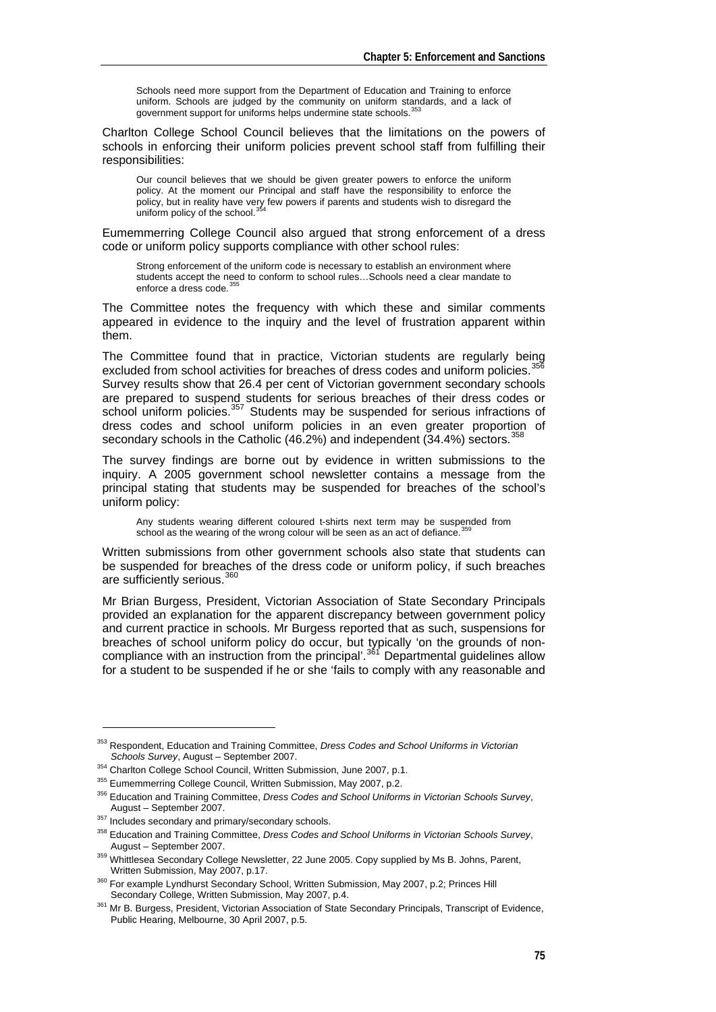Schools need more support from the Department of Education and Training to enforce uniform. Schools are judged by the community on uniform standards, and a lack of government support for uniforms helps undermine state schools.<sup>[353](#page-12-0)</sup>

Charlton College School Council believes that the limitations on the powers of schools in enforcing their uniform policies prevent school staff from fulfilling their responsibilities:

Our council believes that we should be given greater powers to enforce the uniform policy. At the moment our Principal and staff have the responsibility to enforce the policy, but in reality have very few powers if parents and students wish to disregard the uniform policy of the school.<sup>3</sup>

Eumemmerring College Council also argued that strong enforcement of a dress code or uniform policy supports compliance with other school rules:

Strong enforcement of the uniform code is necessary to establish an environment where students accept the need to conform to school rules…Schools need a clear mandate to enforce a dress code. [355](#page-12-2)

The Committee notes the frequency with which these and similar comments appeared in evidence to the inquiry and the level of frustration apparent within them.

The Committee found that in practice, Victorian students are regularly being excluded from school activities for breaches of dress codes and uniform policies.<sup>[356](#page-12-3)</sup> Survey results show that 26.4 per cent of Victorian government secondary schools are prepared to suspend students for serious breaches of their dress codes or school uniform policies.<sup>[357](#page-12-4)</sup> Students may be suspended for serious infractions of dress codes and school uniform policies in an even greater proportion of secondary schools in the Catholic (46.2%) and independent  $(34.4%)$  sectors.  $358$ 

The survey findings are borne out by evidence in written submissions to the inquiry. A 2005 government school newsletter contains a message from the principal stating that students may be suspended for breaches of the school's uniform policy:

Any students wearing different coloured t-shirts next term may be suspended from school as the wearing of the wrong colour will be seen as an act of defiance.<sup>3</sup>

Written submissions from other government schools also state that students can be suspended for breaches of the dress code or uniform policy, if such breaches are sufficiently serious.<sup>[360](#page-12-7)</sup>

Mr Brian Burgess, President, Victorian Association of State Secondary Principals provided an explanation for the apparent discrepancy between government policy and current practice in schools. Mr Burgess reported that as such, suspensions for breaches of school uniform policy do occur, but typically 'on the grounds of non-compliance with an instruction from the principal'.<sup>[361](#page-12-8)</sup> Departmental guidelines allow for a student to be suspended if he or she 'fails to comply with any reasonable and

<span id="page-12-0"></span><sup>353</sup> Respondent, Education and Training Committee, *Dress Codes and School Uniforms in Victorian* 

<span id="page-12-2"></span>

<span id="page-12-1"></span><sup>&</sup>lt;sup>354</sup> Charlton College School Council, Written Submission, June 2007, p.1.<br><sup>355</sup> Eumemmerring College Council, Written Submission, May 2007, p.2.<br><sup>356</sup> Education and Training Committee, *Dress Codes and School Uniforms in* 

<span id="page-12-5"></span><span id="page-12-4"></span><span id="page-12-3"></span><sup>&</sup>lt;sup>357</sup> Includes secondary and primary/secondary schools.<br><sup>358</sup> Education and Training Committee, *Dress Codes and School Uniforms in Victorian Schools Survey*,<br>August – September 2007.

<span id="page-12-6"></span><sup>&</sup>lt;sup>359</sup> Whittlesea Secondary College Newsletter, 22 June 2005. Copy supplied by Ms B. Johns, Parent,<br>Written Submission, May 2007, p.17.

<span id="page-12-7"></span><sup>&</sup>lt;sup>360</sup> For example Lyndhurst Secondary School, Written Submission, May 2007, p.2; Princes Hill<br>Secondary College, Written Submission, May 2007, p.4.

<span id="page-12-8"></span><sup>361</sup> Mr B. Burgess, President, Victorian Association of State Secondary Principals, Transcript of Evidence, Public Hearing, Melbourne, 30 April 2007, p.5.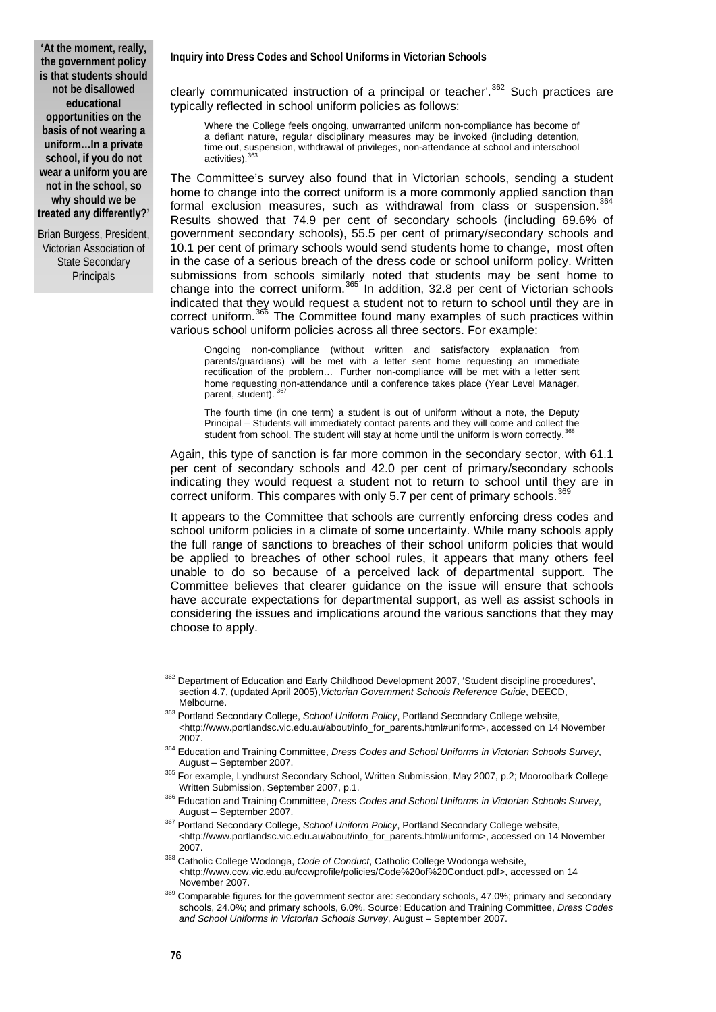**'At the moment, really, the government policy is that students should not be disallowed educational opportunities on the basis of not wearing a uniform…In a private school, if you do not wear a uniform you are not in the school, so why should we be treated any differently?'**

Brian Burgess, President, Victorian Association of State Secondary **Principals** 

clearly communicated instruction of a principal or teacher'.<sup>[362](#page-13-0)</sup> Such practices are typically reflected in school uniform policies as follows:

Where the College feels ongoing, unwarranted uniform non-compliance has become of a defiant nature, regular disciplinary measures may be invoked (including detention, time out, suspension, withdrawal of privileges, non-attendance at school and interschool activities)<sup>3</sup>

The Committee's survey also found that in Victorian schools, sending a student home to change into the correct uniform is a more commonly applied sanction than formal exclusion measures, such as withdrawal from class or suspension.<sup>[364](#page-13-2)</sup> Results showed that 74.9 per cent of secondary schools (including 69.6% of government secondary schools), 55.5 per cent of primary/secondary schools and 10.1 per cent of primary schools would send students home to change, most often in the case of a serious breach of the dress code or school uniform policy. Written submissions from schools similarly noted that students may be sent home to change into the correct uniform. $365$  In addition, 32.8 per cent of Victorian schools indicated that they would request a student not to return to school until they are in correct uniform.<sup>[366](#page-13-4)</sup> The Committee found many examples of such practices within various school uniform policies across all three sectors. For example:

Ongoing non-compliance (without written and satisfactory explanation from parents/guardians) will be met with a letter sent home requesting an immediate rectification of the problem… Further non-compliance will be met with a letter sent home requesting non-attendance until a conference takes place (Year Level Manager, parent, student).

The fourth time (in one term) a student is out of uniform without a note, the Deputy Principal – Students will immediately contact parents and they will come and collect the student from school. The student will stay at home until the uniform is worn correctly.

Again, this type of sanction is far more common in the secondary sector, with 61.1 per cent of secondary schools and 42.0 per cent of primary/secondary schools indicating they would request a student not to return to school until they are in correct uniform. This compares with only 5.7 per cent of primary schools.

It appears to the Committee that schools are currently enforcing dress codes and school uniform policies in a climate of some uncertainty. While many schools apply the full range of sanctions to breaches of their school uniform policies that would be applied to breaches of other school rules, it appears that many others feel unable to do so because of a perceived lack of departmental support. The Committee believes that clearer guidance on the issue will ensure that schools have accurate expectations for departmental support, as well as assist schools in considering the issues and implications around the various sanctions that they may choose to apply.

<span id="page-13-0"></span><sup>&</sup>lt;sup>362</sup> Department of Education and Early Childhood Development 2007, 'Student discipline procedures', section 4.7, (updated April 2005),*Victorian Government Schools Reference Guide*, DEECD,

<span id="page-13-1"></span>Melbourne. 363 Portland Secondary College, *School Uniform Policy*, Portland Secondary College website, <http://www.portlandsc.vic.edu.au/about/info\_for\_parents.html#uniform>, accessed on 14 November

<span id="page-13-2"></span><sup>2007. 364</sup> Education and Training Committee, *Dress Codes and School Uniforms in Victorian Schools Survey*,

<span id="page-13-3"></span><sup>365</sup> For example, Lyndhurst Secondary School, Written Submission, May 2007, p.2; Mooroolbark College

Written Submission, September 2007, p.1. 366 Education and Training Committee, *Dress Codes and School Uniforms in Victorian Schools Survey*,

<span id="page-13-5"></span><span id="page-13-4"></span>August – September 2007. 367 Portland Secondary College, *School Uniform Policy*, Portland Secondary College website, <http://www.portlandsc.vic.edu.au/about/info\_for\_parents.html#uniform>, accessed on 14 November 2007. 368 Catholic College Wodonga, *Code of Conduct*, Catholic College Wodonga website,

<sup>&</sup>lt;http://www.ccw.vic.edu.au/ccwprofile/policies/Code%20of%20Conduct.pdf>, accessed on 14

<span id="page-13-7"></span><span id="page-13-6"></span>November 2007.<br><sup>369</sup> Comparable figures for the government sector are: secondary schools, 47.0%; primary and secondary schools, 24.0%; and primary schools, 6.0%. Source: Education and Training Committee, *Dress Codes and School Uniforms in Victorian Schools Survey*, August – September 2007.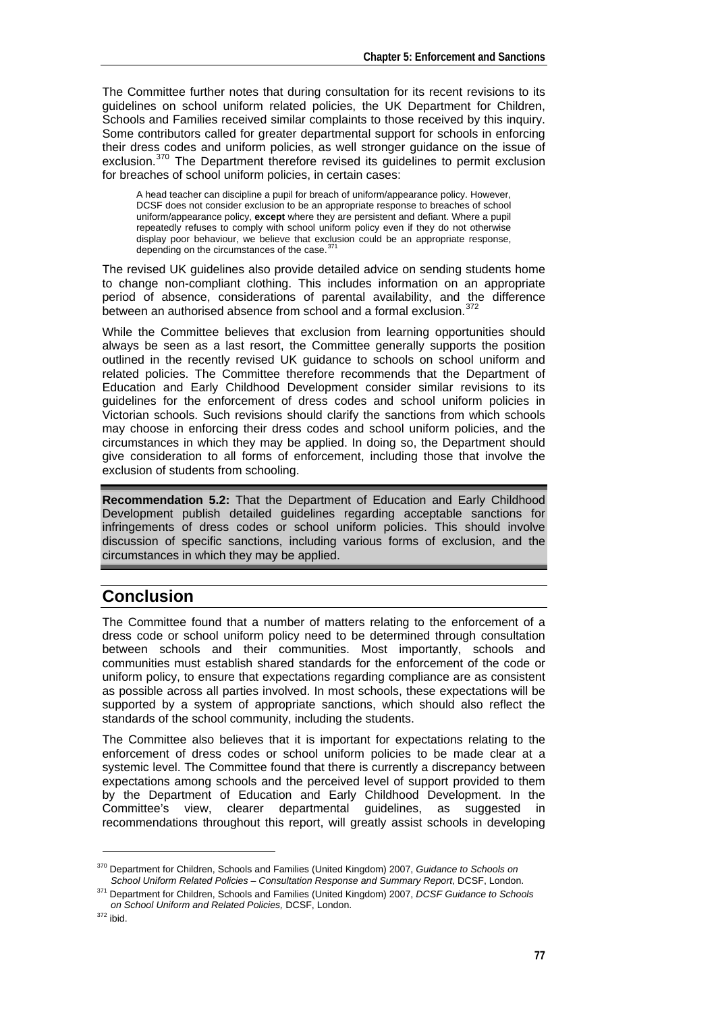The Committee further notes that during consultation for its recent revisions to its guidelines on school uniform related policies, the UK Department for Children, Schools and Families received similar complaints to those received by this inquiry. Some contributors called for greater departmental support for schools in enforcing their dress codes and uniform policies, as well stronger guidance on the issue of exclusion.<sup>[370](#page-14-0)</sup> The Department therefore revised its guidelines to permit exclusion for breaches of school uniform policies, in certain cases:

A head teacher can discipline a pupil for breach of uniform/appearance policy. However, DCSF does not consider exclusion to be an appropriate response to breaches of school uniform/appearance policy, **except** where they are persistent and defiant. Where a pupil repeatedly refuses to comply with school uniform policy even if they do not otherwise display poor behaviour, we believe that exclusion could be an appropriate response, depending on the circumstances of the case.<sup>3</sup>

The revised UK guidelines also provide detailed advice on sending students home to change non-compliant clothing. This includes information on an appropriate period of absence, considerations of parental availability, and the difference between an authorised absence from school and a formal exclusion.  $372$ 

While the Committee believes that exclusion from learning opportunities should always be seen as a last resort, the Committee generally supports the position outlined in the recently revised UK guidance to schools on school uniform and related policies. The Committee therefore recommends that the Department of Education and Early Childhood Development consider similar revisions to its guidelines for the enforcement of dress codes and school uniform policies in Victorian schools. Such revisions should clarify the sanctions from which schools may choose in enforcing their dress codes and school uniform policies, and the circumstances in which they may be applied. In doing so, the Department should give consideration to all forms of enforcement, including those that involve the exclusion of students from schooling.

**Recommendation 5.2:** That the Department of Education and Early Childhood Development publish detailed guidelines regarding acceptable sanctions for infringements of dress codes or school uniform policies. This should involve discussion of specific sanctions, including various forms of exclusion, and the circumstances in which they may be applied.

# **Conclusion**

The Committee found that a number of matters relating to the enforcement of a dress code or school uniform policy need to be determined through consultation between schools and their communities. Most importantly, schools and communities must establish shared standards for the enforcement of the code or uniform policy, to ensure that expectations regarding compliance are as consistent as possible across all parties involved. In most schools, these expectations will be supported by a system of appropriate sanctions, which should also reflect the standards of the school community, including the students.

The Committee also believes that it is important for expectations relating to the enforcement of dress codes or school uniform policies to be made clear at a systemic level. The Committee found that there is currently a discrepancy between expectations among schools and the perceived level of support provided to them by the Department of Education and Early Childhood Development. In the Committee's view, clearer departmental guidelines, as suggested in recommendations throughout this report, will greatly assist schools in developing

-

<span id="page-14-0"></span><sup>370</sup> Department for Children, Schools and Families (United Kingdom) 2007, *Guidance to Schools on* 

<span id="page-14-1"></span>*School Uniform Related Policies – Consultation Response and Summary Report*, DCSF, London. 371 Department for Children, Schools and Families (United Kingdom) 2007, *DCSF Guidance to Schools on School Uniform and Related Policies,* DCSF, London. 372 ibid.

<span id="page-14-2"></span>